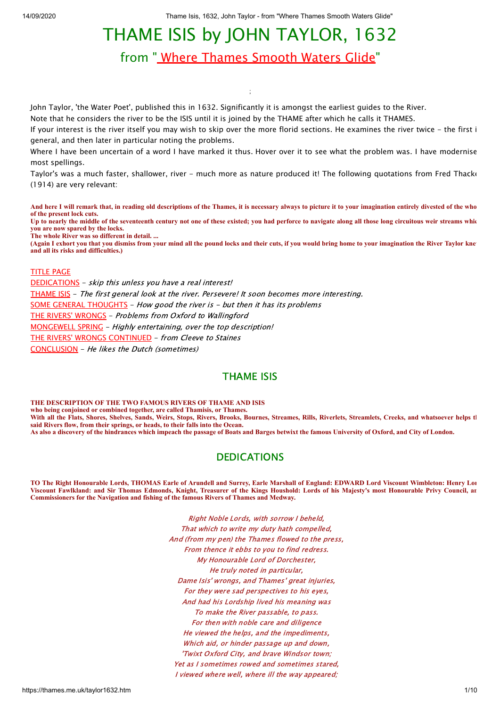# THAME ISIS by JOHN TAYLOR, 1632

from [" Where Thames Smooth Waters Glide](http://thames.me.uk/)"

;

John Taylor, 'the Water Poet', published this in 1632. Significantly it is amongst the earliest guides to the River.

Note that he considers the river to be the ISIS until it is joined by the THAME after which he calls it THAMES.

If your interest is the river itself you may wish to skip over the more florid sections. He examines the river twice - the first i general, and then later in particular noting the problems.

Where I have been uncertain of a word I have marked it thus. Hover over it to see what the problem was. I have modernise most spellings.

Taylor's was a much faster, shallower, river - much more as nature produced it! The following quotations from Fred Thacke (1914) are very relevant:

**And here I will remark that, in reading old descriptions of the Thames, it is necessary always to picture it to your imagination entirely divested of the who of the present lock cuts. Up to nearly the middle of the seventeenth century not one of these existed; you had perforce to navigate along all those long circuitous weir streams whic**

**you are now spared by the locks.**

**The whole River was so different in detail. ...**

**(Again I exhort you that you dismiss from your mind all the pound locks and their cuts, if you would bring home to your imagination the River Taylor knew and all its risks and difficulties.)**

#### [TITLE PAGE](#page-0-0)

[DEDICATIONS](#page-0-1) - skip this unless you have a real interest! [THAME ISIS](#page-1-0) - The first general look at the river. Persevere! It soon becomes more interesting. [SOME GENERAL THOUGHTS](#page-4-0) - How good the river is - but then it has its problems [THE RIVERS' WRONGS](#page-5-0) - Problems from Oxford to Wallingford [MONGEWELL SPRING](#page-5-1) - Highly entertaining, over the top description! [THE RIVERS' WRONGS CONTINUED](#page-6-0) - from Cleeve to Staines [CONCLUSION](#page-9-0) - He likes the Dutch (sometimes)

#### THAME ISIS

<span id="page-0-0"></span>**THE DESCRIPTION OF THE TWO FAMOUS RIVERS OF THAME AND ISIS who being conjoined or combined together, are called Thamisis, or Thames.** With all the Flats, Shores, Shelves, Sands, Weirs, Stops, Rivers, Brooks, Bournes, Streames, Rills, Riverlets, Streamlets, Creeks, and whatsoever helps the **said Rivers flow, from their springs, or heads, to their falls into the Ocean. As also a discovery of the hindrances which impeach the passage of Boats and Barges betwixt the famous University of Oxford, and City of London.**

#### DEDICATIONS

<span id="page-0-1"></span>**TO The Right Honourable Lords, THOMAS Earle of Arundell and Surrey, Earle Marshall of England: EDWARD Lord Viscount Wimbleton: Henry Lor Viscount Fawlkland: and Sir Thomas Edmonds, Knight, Treasurer of the Kings Houshold: Lords of his Majesty's most Honourable Privy Council, an Commissioners for the Navigation and fishing of the famous Rivers of Thames and Medway.**

> Right Noble Lords, with sorrow I beheld, That which to write my duty hath compelled, And (from my pen) the Thames flowed to the press, From thence it ebbs to you to find redress. My Honourable Lord of Dorchester, He truly noted in particular, Dame Isis' wrongs, and Thames' great injuries, For they were sad perspectives to his eyes, And had his Lordship lived his meaning was To make the River passable, to pass. For then with noble care and diligence He viewed the helps, and the impediments, Which aid, or hinder passage up and down, 'Twixt Oxford City, and brave Windsor town; Yet as I sometimes rowed and sometimes stared, I viewed where well, where ill the way appeared;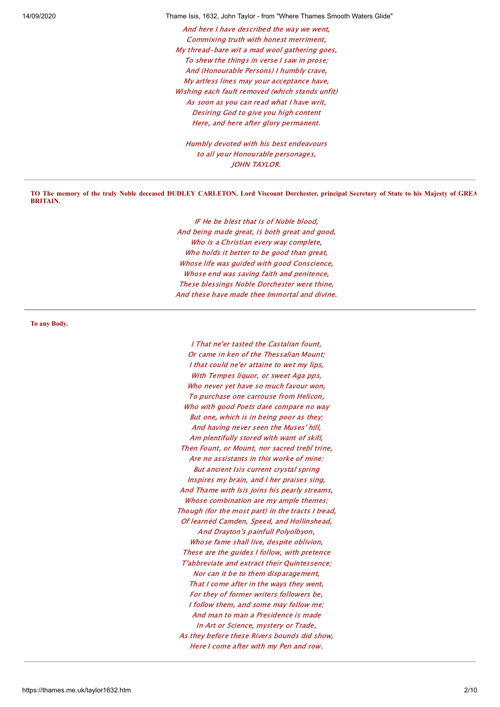And here I have described the way we went, Commixing truth with honest merriment, My thread-bare wit a mad wool gathering goes, To shew the things in verse I saw in prose; And (Honourable Persons) I humbly crave, My artless lines may your acceptance have, Wishing each fault removed (which stands unfit) As soon as you can read what I have writ, Desiring God to give you high content Here, and here after glory permanent.

Humbly devoted with his best endeavours to all your Honourable personages, JOHN TAYLOR.

**TO The memory of the truly Noble deceased DUDLEY CARLETON, Lord Viscount Dorchester, principal Secretary of State to his Majesty of GREA BRITAIN.**

> IF He be blest that is of Noble blood, And being made great, is both great and good, Who is a Christian every way complete, Who holds it better to be good than great, Whose life was guided with good Conscience, Whose end was saving faith and penitence, These blessings Noble Dorchester were thine, And these have made thee Immortal and divine.

<span id="page-1-0"></span>**To any Body.**

I That ne'er tasted the Castalian fount, Or came in ken of the Thessalian Mount; I that could ne'er attaine to wet my lips, With Tempes liquor, or sweet Aga pps, Who never yet have so much favour won, To purchase one carrouse from Helicon, Who with good Poets dare compare no way But one, which is in being poor as they; And having never seen the Muses' hill, Am plentifully stored with want of skill, Then Fount, or Mount, nor sacred trebl trine, Are no assistants in this worke of mine: But ancient Isis current crystal spring Inspires my brain, and I her praises sing, And Thame with Isis joins his pearly streams, Whose combination are my ample themes; Though (for the most part) in the tracts I tread, Of learnéd Camden, Speed, and Hollinshead, And Drayton's painfull Polyolbyon, Whose fame shall live, despite oblivion, These are the guides I follow, with pretence T'abbreviate and extract their Quintessence; Nor can it be to them disparagement, That I come after in the ways they went, For they of former writers followers be, I follow them, and some may follow me; And man to man a Presidence is made In Art or Science, mystery or Trade, As they before these Rivers bounds did show, Here I come after with my Pen and row.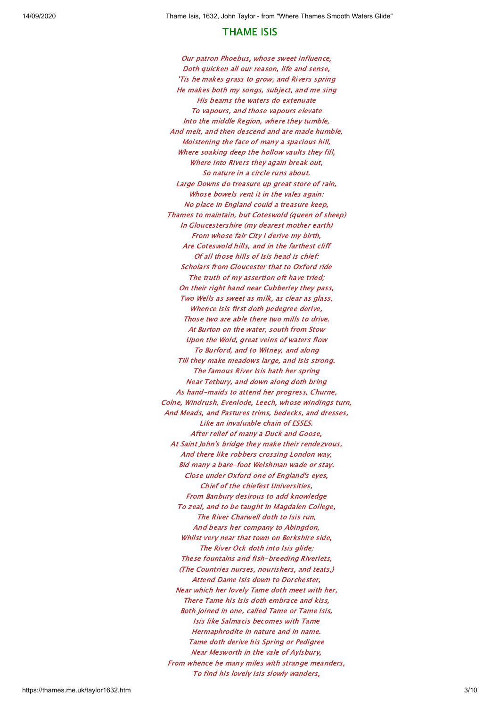### THAME ISIS

Our patron Phoebus, whose sweet influence, Doth quicken all our reason, life and sense, 'Tis he makes grass to grow, and Rivers spring He makes both my songs, subject, and me sing His beams the waters do extenuate To vapours, and those vapours elevate Into the middle Region, where they tumble, And melt, and then descend and are made humble, Moistening the face of many a spacious hill, Where soaking deep the hollow vaults they fill, Where into Rivers they again break out, So nature in a circle runs about. Large Downs do treasure up great store of rain, Whose bowels vent it in the vales again: No place in England could a treasure keep, Thames to maintain, but Coteswold (queen of sheep) In Gloucestershire (my dearest mother earth) From whose fair City I derive my birth, Are Coteswold hills, and in the farthest cliff Of all those hills of Isis head is chief: Scholars from Gloucester that to Oxford ride The truth of my assertion oft have tried; On their right hand near Cubberley they pass, Two Wells as sweet as milk, as clear as glass, Whence Isis first doth pedegree derive, Those two are able there two mills to drive. At Burton on the water, south from Stow Upon the Wold, great veins of waters flow To Burford, and to Witney, and along Till they make meadows large, and Isis strong. The famous River Isis hath her spring Near Tetbury, and down along doth bring As hand-maids to attend her progress, Churne, Colne, Windrush, Evenlode, Leech, whose windings turn, And Meads, and Pastures trims, bedecks, and dresses, Like an invaluable chain of ESSES. After relief of many a Duck and Goose, At Saint John's bridge they make their rendezvous, And there like robbers crossing London way, Bid many a bare-foot Welshman wade or stay. Close under Oxford one of England's eyes, Chief of the chiefest Universities, From Banbury desirous to add knowledge To zeal, and to be taught in Magdalen College, The River Charwell doth to Isis run, And bears her company to Abingdon, Whilst very near that town on Berkshire side, The River Ock doth into Isis glide; These fountains and fish-breeding Riverlets, (The Countries nurses, nourishers, and teats,) Attend Dame Isis down to Dorchester, Near which her lovely Tame doth meet with her, There Tame his Isis doth embrace and kiss, Both joined in one, called Tame or Tame Isis, Isis like Salmacis becomes with Tame Hermaphrodite in nature and in name. Tame doth derive his Spring or Pedigree Near Mesworth in the vale of Aylsbury, From whence he many miles with strange meanders, To find his lovely Isis slowly wanders,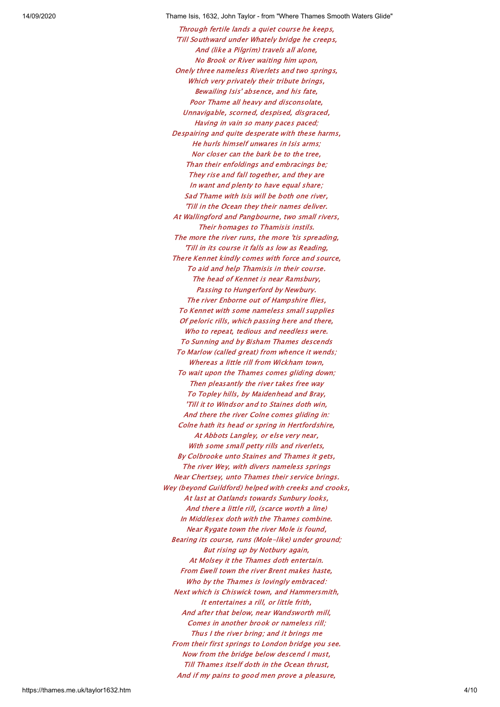Through fertile lands a quiet course he keeps, 'Till Southward under Whately bridge he creeps, And (like a Pilgrim) travels all alone, No Brook or River waiting him upon, Onely three nameless Riverlets and two springs, Which very privately their tribute brings, Bewailing Isis' absence, and his fate, Poor Thame all heavy and disconsolate, Unnavigable, scorned, despised, disgraced, Having in vain so many paces paced; Despairing and quite desperate with these harms, He hurls himself unwares in Isis arms; Nor closer can the bark be to the tree, Than their enfoldings and embracings be; They rise and fall together, and they are In want and plenty to have equal share; Sad Thame with Isis will be both one river, 'Till in the Ocean they their names deliver. At Wallingford and Pangbourne, two small rivers, Their homages to Thamisis instils. The more the river runs, the more 'tis spreading, 'Till in its course it falls as low as Reading, There Kennet kindly comes with force and source, To aid and help Thamisis in their course. The head of Kennet is near Ramsbury, Passing to Hungerford by Newbury. The river Enborne out of Hampshire flies, To Kennet with some nameless small supplies Of peloric rills, which passing here and there, Who to repeat, tedious and needless were. To Sunning and by Bisham Thames descends To Marlow (called great) from whence it wends; Whereas a little rill from Wickham town, To wait upon the Thames comes gliding down; Then pleasantly the river takes free way To Topley hills, by Maidenhead and Bray, 'Till it to Windsor and to Staines doth win, And there the river Colne comes gliding in: Colne hath its head or spring in Hertfordshire, At Abbots Langley, or else very near, With some small petty rills and riverlets, By Colbrooke unto Staines and Thames it gets, The river Wey, with divers nameless springs Near Chertsey, unto Thames their service brings. Wey (beyond Guildford) helped with creeks and crooks, At last at Oatlands towards Sunbury looks, And there a little rill, (scarce worth a line) In Middlesex doth with the Thames combine. Near Rygate town the river Mole is found, Bearing its course, runs (Mole-like) under ground; But rising up by Notbury again, At Molsey it the Thames doth entertain. From Ewell town the river Brent makes haste, Who by the Thames is lovingly embraced: Next which is Chiswick town, and Hammersmith, It entertaines a rill, or little frith, And after that below, near Wandsworth mill, Comes in another brook or nameless rill; Thus I the river bring; and it brings me From their first springs to London bridge you see. Now from the bridge below descend I must, Till Thames itself doth in the Ocean thrust, And if my pains to good men prove a pleasure,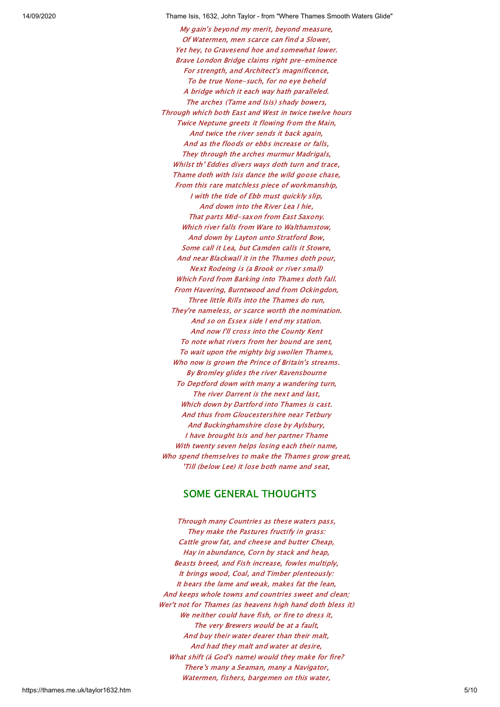My gain's beyond my merit, beyond measure, Of Watermen, men scarce can find a Slower, Yet hey, to Gravesend hoe and somewhat lower. Brave London Bridge claims right pre-eminence For strength, and Architect's magnificence, To be true None-such, for no eye beheld A bridge which it each way hath paralleled. The arches (Tame and Isis) shady bowers, Through which both East and West in twice twelve hours Twice Neptune greets it flowing from the Main, And twice the river sends it back again, And as the floods or ebbs increase or falls, They through the arches murmur Madrigals, Whilst th' Eddies divers ways doth turn and trace, Thame doth with Isis dance the wild goose chase, From this rare matchless piece of workmanship, I with the tide of Ebb must quickly slip, And down into the River Lea I hie, That parts Mid-saxon from East Saxony. Which river falls from Ware to Walthamstow, And down by Layton unto Stratford Bow, Some call it Lea, but Camden calls it Stowre, And near Blackwall it in the Thames doth pour, Next Rodeing is (a Brook or river small) Which Ford from Barking into Thames doth fall. From Havering, Burntwood and from Ockingdon, Three little Rills into the Thames do run, They're nameless, or scarce worth the nomination. And so on Essex side I end my station. And now I'll cross into the County Kent To note what rivers from her bound are sent, To wait upon the mighty big swollen Thames, Who now is grown the Prince of Britain's streams. By Bromley glides the river Ravensbourne To Deptford down with many a wandering turn, The river Darrent is the next and last, Which down by Dartford into Thames is cast. And thus from Gloucestershire near Tetbury And Buckinghamshire close by Aylsbury, I have brought Isis and her partner Thame With twenty seven helps losing each their name, Who spend themselves to make the Thames grow great, 'Till (below Lee) it lose both name and seat,

#### SOME GENERAL THOUGHTS

<span id="page-4-0"></span>Through many Countries as these waters pass, They make the Pastures fructify in grass: Cattle grow fat, and cheese and butter Cheap, Hay in abundance, Corn by stack and heap, Beasts breed, and Fish increase, fowles multiply, It brings wood, Coal, and Timber plenteously: It bears the lame and weak, makes fat the lean, And keeps whole towns and countries sweet and clean; Wer't not for Thames (as heavens high hand doth bless it) We neither could have fish, or fire to dress it, The very Brewers would be at a fault, And buy their water dearer than their malt, And had they malt and water at desire, What shift (á God's name) would they make for fire? There's many a Seaman, many a Navigator, Watermen, fishers, bargemen on this water,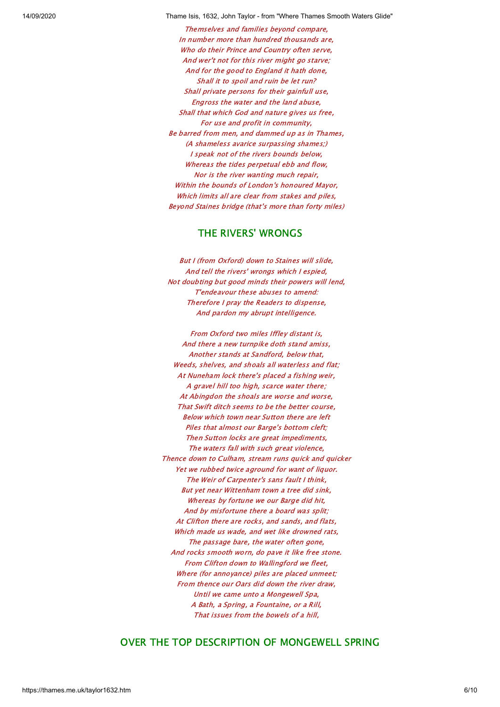Themselves and families beyond compare, In number more than hundred thousands are, Who do their Prince and Country often serve, And wer't not for this river might go starve; And for the good to England it hath done, Shall it to spoil and ruin be let run? Shall private persons for their gainfull use, Engross the water and the land abuse, Shall that which God and nature gives us free, For use and profit in community, Be barred from men, and dammed up as in Thames, (A shameless avarice surpassing shames;) I speak not of the rivers bounds below, Whereas the tides perpetual ebb and flow, Nor is the river wanting much repair, Within the bounds of London's honoured Mayor, Which limits all are clear from stakes and piles, Beyond Staines bridge (that's more than forty miles)

#### THE RIVERS' WRONGS

<span id="page-5-0"></span>But I (from Oxford) down to Staines will slide, And tell the rivers' wrongs which I espied, Not doubting but good minds their powers will lend, T'endeavour these abuses to amend: Therefore I pray the Readers to dispense, And pardon my abrupt intelligence.

From Oxford two miles Iffley distant is, And there a new turnpike doth stand amiss, Another stands at Sandford, below that, Weeds, shelves, and shoals all waterless and flat; At Nuneham lock there's placed a fishing weir, A gravel hill too high, scarce water there; At Abingdon the shoals are worse and worse, That Swift ditch seems to be the better course, Below which town near Sutton there are left Piles that almost our Barge's bottom cleft; Then Sutton locks are great impediments, The waters fall with such great violence, Thence down to Culham, stream runs quick and quicker Yet we rubbed twice aground for want of liquor. The Weir of Carpenter's sans fault I think, But yet near Wittenham town a tree did sink, Whereas by fortune we our Barge did hit, And by misfortune there a board was split; At Clifton there are rocks, and sands, and flats, Which made us wade, and wet like drowned rats, The passage bare, the water often gone, And rocks smooth worn, do pave it like free stone. From Clifton down to Wallingford we fleet, Where (for annoyance) piles are placed unmeet; From thence our Oars did down the river draw, Until we came unto a Mongewell Spa, A Bath, a Spring, a Fountaine, or a Rill, That issues from the bowels of a hill,

#### <span id="page-5-1"></span>OVER THE TOP DESCRIPTION OF MONGEWELL SPRING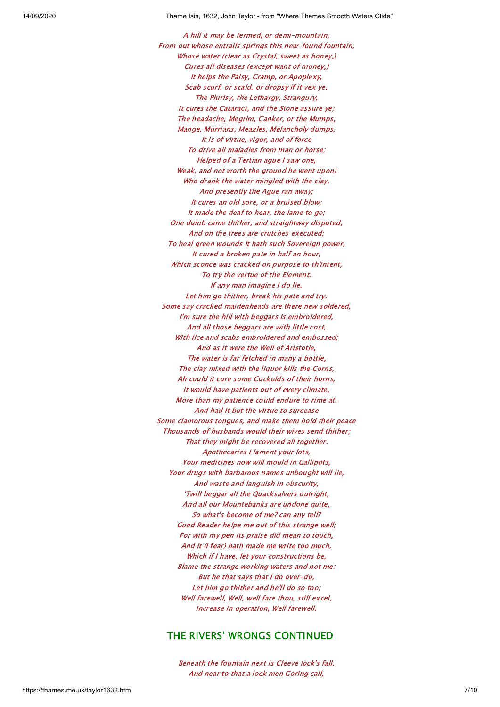A hill it may be termed, or demi-mountain, From out whose entrails springs this new-found fountain, Whose water (clear as Crystal, sweet as honey,) Cures all diseases (except want of money,) It helps the Palsy, Cramp, or Apoplexy, Scab scurf, or scald, or dropsy if it vex ye, The Plurisy, the Lethargy, Strangury, It cures the Cataract, and the Stone assure ye; The headache, Megrim, Canker, or the Mumps, Mange, Murrians, Meazles, Melancholy dumps, It is of virtue, vigor, and of force To drive all maladies from man or horse; Helped of a Tertian ague I saw one, Weak, and not worth the ground he went upon) Who drank the water mingled with the clay, And presently the Ague ran away; It cures an old sore, or a bruised blow; It made the deaf to hear, the lame to go; One dumb came thither, and straightway disputed, And on the trees are crutches executed; To heal green wounds it hath such Sovereign power, It cured a broken pate in half an hour, Which sconce was cracked on purpose to th'intent, To try the vertue of the Element. If any man imagine I do lie, Let him go thither, break his pate and try. Some say cracked maidenheads are there new soldered, I'm sure the hill with beggars is embroidered, And all those beggars are with little cost, With lice and scabs embroidered and embossed: And as it were the Well of Aristotle, The water is far fetched in many a bottle, The clay mixed with the liquor kills the Corns, Ah could it cure some Cuckolds of their horns, It would have patients out of every climate, More than my patience could endure to rime at, And had it but the virtue to surcease Some clamorous tongues, and make them hold their peace Thousands of husbands would their wives send thither; That they might be recovered all together. Apothecaries I lament your lots, Your medicines now will mould in Gallipots, Your drugs with barbarous names unbought will lie, And waste and languish in obscurity, 'Twill beggar all the Quacksalvers outright, And all our Mountebanks are undone quite, So what's become of me? can any tell? Good Reader helpe me out of this strange well; For with my pen its praise did mean to touch, And it (I fear) hath made me write too much, Which if I have, let your constructions be, Blame the strange working waters and not me: But he that says that I do over-do, Let him go thither and he'll do so too; Well farewell, Well, well fare thou, still excel, Increase in operation, Well farewell.

## <span id="page-6-0"></span>THE RIVERS' WRONGS CONTINUED

Beneath the fountain next is Cleeve lock's fall, And near to that a lock men Goring call,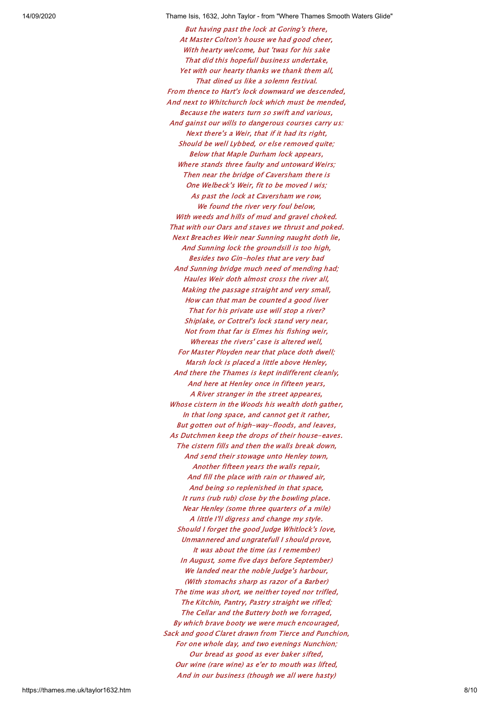But having past the lock at Goring's there, At Master Colton's house we had good cheer, With hearty welcome, but 'twas for his sake That did this hopefull business undertake, Yet with our hearty thanks we thank them all, That dined us like a solemn festival. From thence to Hart's lock downward we descended, And next to Whitchurch lock which must be mended, Because the waters turn so swift and various, And gainst our wills to dangerous courses carry us: Next there's a Weir, that if it had its right, Should be well Lybbed, or else removed quite; Below that Maple Durham lock appears, Where stands three faulty and untoward Weirs; Then near the bridge of Caversham there is One Welbeck's Weir, fit to be moved I wis; As past the lock at Caversham we row, We found the river very foul below, With weeds and hills of mud and gravel choked. That with our Oars and staves we thrust and poked. Next Breaches Weir near Sunning naught doth lie, And Sunning lock the groundsill is too high, Besides two Gin-holes that are very bad And Sunning bridge much need of mending had; Haules Weir doth almost cross the river all, Making the passage straight and very small, How can that man be counted a good liver That for his private use will stop a river? Shiplake, or Cottrel's lock stand very near, Not from that far is Elmes his fishing weir, Whereas the rivers' case is altered well, For Master Ployden near that place doth dwell; Marsh lock is placed a little above Henley, And there the Thames is kept indifferent cleanly, And here at Henley once in fifteen years, A River stranger in the street appeares, Whose cistern in the Woods his wealth doth gather, In that long space, and cannot get it rather, But gotten out of high-way-floods, and leaves, As Dutchmen keep the drops of their house-eaves. The cistern fills and then the walls break down, And send their stowage unto Henley town, Another fifteen years the walls repair, And fill the place with rain or thawed air, And being so replenished in that space, It runs (rub rub) close by the bowling place. Near Henley (some three quarters of a mile) A little I'll digress and change my style. Should I forget the good Judge Whitlock's love, Unmannered and ungratefull I should prove, It was about the time (as I remember) In August, some five days before September) We landed near the noble Judge's harbour, (With stomachs sharp as razor of a Barber) The time was short, we neither toyed nor trifled, The Kitchin, Pantry, Pastry straight we rifled; The Cellar and the Buttery both we forraged, By which brave booty we were much encouraged, Sack and good Claret drawn from Tierce and Punchion, For one whole day, and two evenings Nunchion; Our bread as good as ever baker sifted, Our wine (rare wine) as e'er to mouth was lifted, And in our business (though we all were hasty)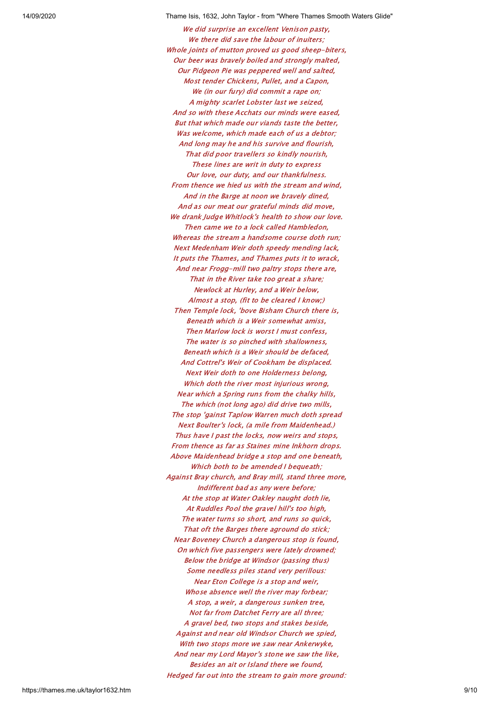We did surprise an excellent Venison pasty, We there did save the labour of inuiters; Whole joints of mutton proved us good sheep-biters, Our beer was bravely boiled and strongly malted, Our Pidgeon Pie was peppered well and salted, Most tender Chickens, Pullet, and a Capon, We (in our fury) did commit a rape on; A mighty scarlet Lobster last we seized, And so with these Acchats our minds were eased, But that which made our viands taste the better, Was welcome, which made each of us a debtor; And long may he and his survive and flourish, That did poor travellers so kindly nourish, These lines are writ in duty to express Our love, our duty, and our thankfulness. From thence we hied us with the stream and wind, And in the Barge at noon we bravely dined, And as our meat our grateful minds did move, We drank Judge Whitlock's health to show our love. Then came we to a lock called Hambledon, Whereas the stream a handsome course doth run; Next Medenham Weir doth speedy mending lack, It puts the Thames, and Thames puts it to wrack, And near Frogg-mill two paltry stops there are, That in the River take too great a share; Newlock at Hurley, and a Weir below, Almost a stop, (fit to be cleared I know;) Then Temple lock, 'bove Bisham Church there is, Beneath which is a Weir somewhat amiss, Then Marlow lock is worst I must confess, The water is so pinched with shallowness, Beneath which is a Weir should be defaced, And Cottrel's Weir of Cookham be displaced. Next Weir doth to one Holderness belong, Which doth the river most injurious wrong, Near which a Spring runs from the chalky hills, The which (not long ago) did drive two mills, The stop 'gainst Taplow Warren much doth spread Next Boulter's lock, (a mile from Maidenhead.) Thus have I past the locks, now weirs and stops, From thence as far as Staines mine Inkhorn drops. Above Maidenhead bridge a stop and one beneath, Which both to be amended I bequeath: Against Bray church, and Bray mill, stand three more, Indifferent bad as any were before; At the stop at Water Oakley naught doth lie, At Ruddles Pool the gravel hill's too high, The water turns so short, and runs so quick, That oft the Barges there aground do stick; Near Boveney Church a dangerous stop is found, On which five passengers were lately drowned; Below the bridge at Windsor (passing thus) Some needless piles stand very perillous: Near Eton College is a stop and weir, Whose absence well the river may forbear; A stop, a weir, a dangerous sunken tree, Not far from Datchet Ferry are all three; A gravel bed, two stops and stakes beside, Against and near old Windsor Church we spied, With two stops more we saw near Ankerwyke, And near my Lord Mayor's stone we saw the like, Besides an ait or Island there we found, Hedged far out into the stream to gain more ground: